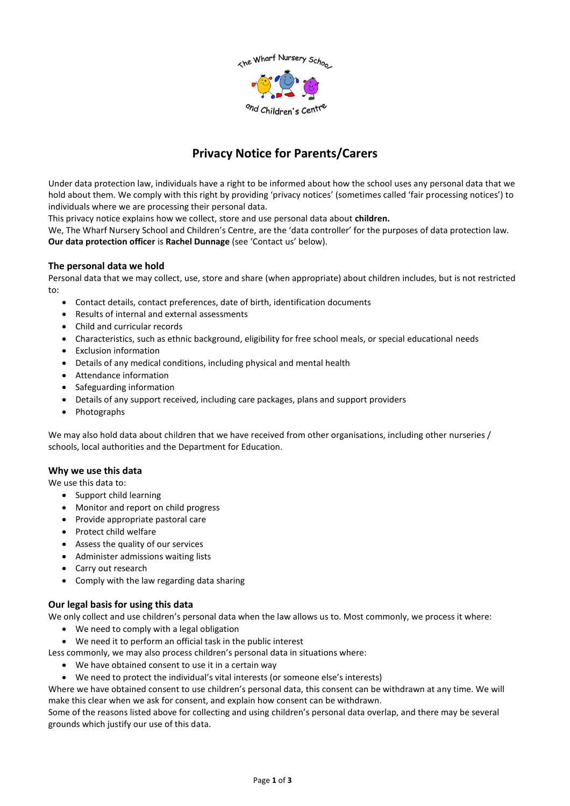

# **Privacy Notice for Parents/Carers**

Under data protection law, individuals have a right to be informed about how the school uses any personal data that we hold about them. We comply with this right by providing 'privacy notices' (sometimes called 'fair processing notices') to individuals where we are processing their personal data.

This privacy notice explains how we collect, store and use personal data about **children.**

We, The Wharf Nursery School and Children's Centre, are the 'data controller' for the purposes of data protection law. **Our data protection officer** is **Rachel Dunnage** (see 'Contact us' below).

# **The personal data we hold**

Personal data that we may collect, use, store and share (when appropriate) about children includes, but is not restricted to:

- Contact details, contact preferences, date of birth, identification documents
- Results of internal and external assessments
- Child and curricular records
- Characteristics, such as ethnic background, eligibility for free school meals, or special educational needs
- Exclusion information
- Details of any medical conditions, including physical and mental health
- Attendance information
- Safeguarding information
- Details of any support received, including care packages, plans and support providers
- Photographs

We may also hold data about children that we have received from other organisations, including other nurseries / schools, local authorities and the Department for Education.

#### **Why we use this data**

We use this data to:

- Support child learning
- Monitor and report on child progress
- Provide appropriate pastoral care
- Protect child welfare
- Assess the quality of our services
- Administer admissions waiting lists
- Carry out research
- Comply with the law regarding data sharing

# **Our legal basis for using this data**

We only collect and use children's personal data when the law allows us to. Most commonly, we process it where:

- We need to comply with a legal obligation
- We need it to perform an official task in the public interest
- Less commonly, we may also process children's personal data in situations where:
	- We have obtained consent to use it in a certain way
	- We need to protect the individual's vital interests (or someone else's interests)

Where we have obtained consent to use children's personal data, this consent can be withdrawn at any time. We will make this clear when we ask for consent, and explain how consent can be withdrawn.

Some of the reasons listed above for collecting and using children's personal data overlap, and there may be several grounds which justify our use of this data.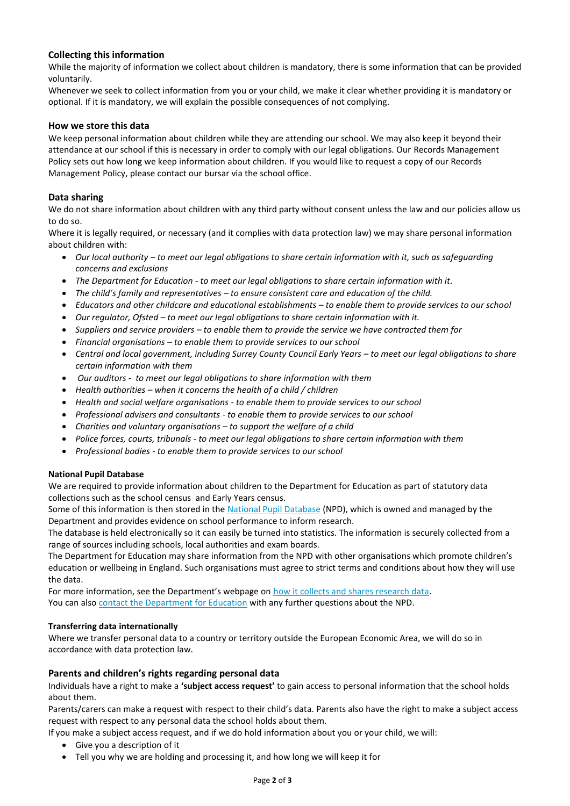# **Collecting this information**

While the majority of information we collect about children is mandatory, there is some information that can be provided voluntarily.

Whenever we seek to collect information from you or your child, we make it clear whether providing it is mandatory or optional. If it is mandatory, we will explain the possible consequences of not complying.

## **How we store this data**

We keep personal information about children while they are attending our school. We may also keep it beyond their attendance at our school if this is necessary in order to comply with our legal obligations. Our Records Management Policy sets out how long we keep information about children. If you would like to request a copy of our Records Management Policy, please contact our bursar via the school office.

## **Data sharing**

We do not share information about children with any third party without consent unless the law and our policies allow us to do so.

Where it is legally required, or necessary (and it complies with data protection law) we may share personal information about children with:

- *Our local authority – to meet our legal obligations to share certain information with it, such as safeguarding concerns and exclusions*
- *The Department for Education - to meet our legal obligations to share certain information with it.*
- *The child's family and representatives – to ensure consistent care and education of the child.*
- *Educators and other childcare and educational establishments – to enable them to provide services to our school*
- *Our regulator, Ofsted – to meet our legal obligations to share certain information with it.*
- *Suppliers and service providers – to enable them to provide the service we have contracted them for*
- *Financial organisations – to enable them to provide services to our school*
- *Central and local government, including Surrey County Council Early Years – to meet our legal obligations to share certain information with them*
- *Our auditors - to meet our legal obligations to share information with them*
- *Health authorities – when it concerns the health of a child / children*
- *Health and social welfare organisations - to enable them to provide services to our school*
- *Professional advisers and consultants - to enable them to provide services to our school*
- *Charities and voluntary organisations – to support the welfare of a child*
- *Police forces, courts, tribunals - to meet our legal obligations to share certain information with them*
- *Professional bodies - to enable them to provide services to our school*

#### **National Pupil Database**

We are required to provide information about children to the Department for Education as part of statutory data collections such as the school census and Early Years census.

Some of this information is then stored in the [National Pupil Database](https://www.gov.uk/government/publications/national-pupil-database-user-guide-and-supporting-information) (NPD), which is owned and managed by the Department and provides evidence on school performance to inform research.

The database is held electronically so it can easily be turned into statistics. The information is securely collected from a range of sources including schools, local authorities and exam boards.

The Department for Education may share information from the NPD with other organisations which promote children's education or wellbeing in England. Such organisations must agree to strict terms and conditions about how they will use the data.

For more information, see the Department's webpage on [how it collects and shares research data.](https://www.gov.uk/data-protection-how-we-collect-and-share-research-data) You can also [contact the Department for Education](https://www.gov.uk/contact-dfe) with any further questions about the NPD.

#### **Transferring data internationally**

Where we transfer personal data to a country or territory outside the European Economic Area, we will do so in accordance with data protection law.

# **Parents and children's rights regarding personal data**

Individuals have a right to make a **'subject access request'** to gain access to personal information that the school holds about them.

Parents/carers can make a request with respect to their child's data. Parents also have the right to make a subject access request with respect to any personal data the school holds about them.

If you make a subject access request, and if we do hold information about you or your child, we will:

- Give you a description of it
- Tell you why we are holding and processing it, and how long we will keep it for